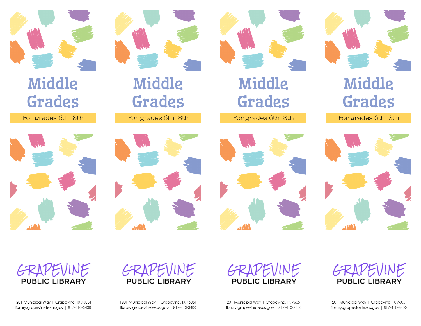

# Middle Grades

F or grades 6th-8th





Middle

Grades

F or grades 6th-8th



F or grades 6th-8th

## Middle Grades

F or grades 6th-8th







1201 Municipal Way | Grapevine, TX 76051 library.grapevinetexas.gov | 817-410-3400 1201 Municipal Way | Grapevine, TX 76051 library.grapevinetexas.gov | 817-410-3400

GRAPEVINE

**PUBLIC LIBRARY** 

GRAPEVINE **PUBLIC LIBRARY** 

1201 Municipal Way | Grapevine, TX 76051 library.grapevinetexas.gov | 817-410-3400 GRAPEVINE **PUBLIC LIBRARY** 

1201 Municipal Way | Grapevine, TX 76051 library.grapevinetexas.gov | 817-410-3400